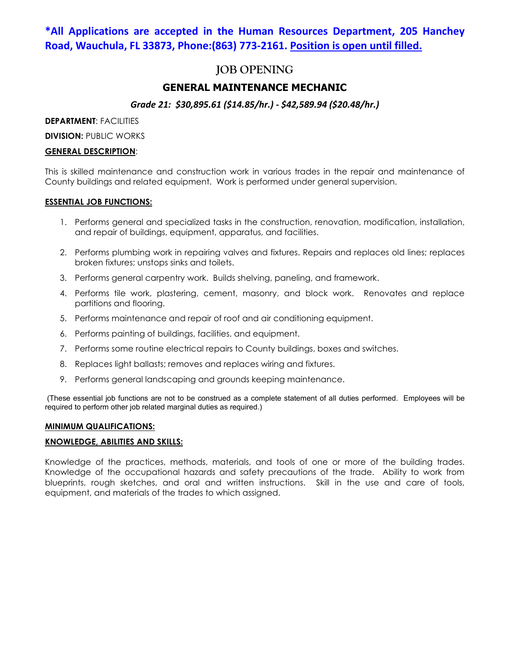## **\*All Applications are accepted in the Human Resources Department, 205 Hanchey Road, Wauchula, FL 33873, Phone:(863) 773-2161. Position is open until filled.**

## **JOB OPENING**

## **GENERAL MAINTENANCE MECHANIC**

## *Grade 21: \$30,895.61 (\$14.85/hr.) - \$42,589.94 (\$20.48/hr.)*

**DEPARTMENT**: FACILITIES

**DIVISION: PUBLIC WORKS** 

## **GENERAL DESCRIPTION**:

This is skilled maintenance and construction work in various trades in the repair and maintenance of County buildings and related equipment. Work is performed under general supervision.

## **ESSENTIAL JOB FUNCTIONS:**

- 1. Performs general and specialized tasks in the construction, renovation, modification, installation, and repair of buildings, equipment, apparatus, and facilities.
- 2. Performs plumbing work in repairing valves and fixtures. Repairs and replaces old lines; replaces broken fixtures; unstops sinks and toilets.
- 3. Performs general carpentry work. Builds shelving, paneling, and framework.
- 4. Performs tile work, plastering, cement, masonry, and block work. Renovates and replace partitions and flooring.
- 5. Performs maintenance and repair of roof and air conditioning equipment.
- 6. Performs painting of buildings, facilities, and equipment.
- 7. Performs some routine electrical repairs to County buildings, boxes and switches.
- 8. Replaces light ballasts; removes and replaces wiring and fixtures.
- 9. Performs general landscaping and grounds keeping maintenance.

(These essential job functions are not to be construed as a complete statement of all duties performed. Employees will be required to perform other job related marginal duties as required.)

#### **MINIMUM QUALIFICATIONS:**

## **KNOWLEDGE, ABILITIES AND SKILLS:**

Knowledge of the practices, methods, materials, and tools of one or more of the building trades. Knowledge of the occupational hazards and safety precautions of the trade. Ability to work from blueprints, rough sketches, and oral and written instructions. Skill in the use and care of tools, equipment, and materials of the trades to which assigned.